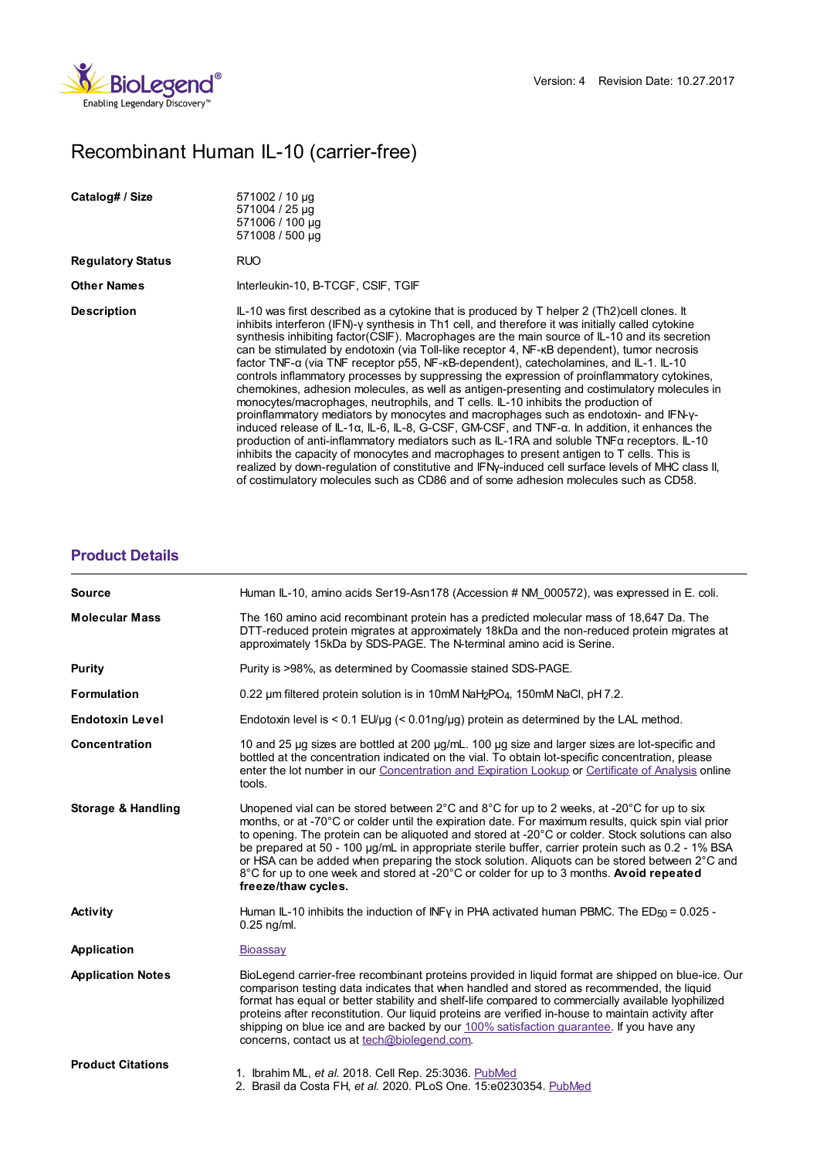

# Recombinant Human IL-10 (carrier-free)

| Catalog# / Size          | 571002 / 10 µg<br>571004 / 25 µg<br>571006 / 100 µg<br>571008 / 500 µg                                                                                                                                                                                                                                                                                                                                                                                                                                                                                                                                                                                                                                                                                                                                                                                                                                                                                                                                                                                                                                                                                                                                                                                                                                                                                                                |
|--------------------------|---------------------------------------------------------------------------------------------------------------------------------------------------------------------------------------------------------------------------------------------------------------------------------------------------------------------------------------------------------------------------------------------------------------------------------------------------------------------------------------------------------------------------------------------------------------------------------------------------------------------------------------------------------------------------------------------------------------------------------------------------------------------------------------------------------------------------------------------------------------------------------------------------------------------------------------------------------------------------------------------------------------------------------------------------------------------------------------------------------------------------------------------------------------------------------------------------------------------------------------------------------------------------------------------------------------------------------------------------------------------------------------|
| <b>Regulatory Status</b> | RUO                                                                                                                                                                                                                                                                                                                                                                                                                                                                                                                                                                                                                                                                                                                                                                                                                                                                                                                                                                                                                                                                                                                                                                                                                                                                                                                                                                                   |
| <b>Other Names</b>       | Interleukin-10, B-TCGF, CSIF, TGIF                                                                                                                                                                                                                                                                                                                                                                                                                                                                                                                                                                                                                                                                                                                                                                                                                                                                                                                                                                                                                                                                                                                                                                                                                                                                                                                                                    |
| <b>Description</b>       | $IL-10$ was first described as a cytokine that is produced by T helper 2 (Th2)cell clones. It<br>inhibits interferon (IFN)-y synthesis in Th1 cell, and therefore it was initially called cytokine<br>synthesis inhibiting factor(CSIF). Macrophages are the main source of IL-10 and its secretion<br>can be stimulated by endotoxin (via Toll-like receptor 4, NF-KB dependent), tumor necrosis<br>factor TNF-α (via TNF receptor p55, NF-κB-dependent), catecholamines, and IL-1. IL-10<br>controls inflammatory processes by suppressing the expression of proinflammatory cytokines,<br>chemokines, adhesion molecules, as well as antigen-presenting and costimulatory molecules in<br>monocytes/macrophages, neutrophils, and T cells. IL-10 inhibits the production of<br>proinflammatory mediators by monocytes and macrophages such as endotoxin- and IFN-y-<br>induced release of $IL-1\alpha$ , $IL-6$ , $IL-8$ , G-CSF, GM-CSF, and TNF- $\alpha$ . In addition, it enhances the<br>production of anti-inflammatory mediators such as IL-1RA and soluble TNFα receptors. IL-10<br>inhibits the capacity of monocytes and macrophages to present antigen to T cells. This is<br>realized by down-regulation of constitutive and IFNy-induced cell surface levels of MHC class II.<br>of costimulatory molecules such as CD86 and of some adhesion molecules such as CD58. |

## **[Product](https://production-dynamicweb.biolegend.com/de-de/products/recombinant-human-il-10-carrier-free-5706?pdf=true&displayInline=true&leftRightMargin=15&topBottomMargin=15&filename=Recombinant Human IL-10 (carrier-free).pdf#productDetails) Details**

| <b>Source</b>            | Human IL-10, amino acids Ser19-Asn178 (Accession # NM 000572), was expressed in E. coli.                                                                                                                                                                                                                                                                                                                                                                                                                                                                                                                                     |
|--------------------------|------------------------------------------------------------------------------------------------------------------------------------------------------------------------------------------------------------------------------------------------------------------------------------------------------------------------------------------------------------------------------------------------------------------------------------------------------------------------------------------------------------------------------------------------------------------------------------------------------------------------------|
| <b>Molecular Mass</b>    | The 160 amino acid recombinant protein has a predicted molecular mass of 18,647 Da. The<br>DTT-reduced protein migrates at approximately 18kDa and the non-reduced protein migrates at<br>approximately 15kDa by SDS-PAGE. The N-terminal amino acid is Serine.                                                                                                                                                                                                                                                                                                                                                              |
| <b>Purity</b>            | Purity is >98%, as determined by Coomassie stained SDS-PAGE.                                                                                                                                                                                                                                                                                                                                                                                                                                                                                                                                                                 |
| <b>Formulation</b>       | 0.22 $\mu$ m filtered protein solution is in 10mM NaH <sub>2</sub> PO <sub>4</sub> , 150mM NaCl, pH 7.2.                                                                                                                                                                                                                                                                                                                                                                                                                                                                                                                     |
| <b>Endotoxin Level</b>   | Endotoxin level is $\leq 0.1$ EU/ $\mu$ g ( $\leq 0.01$ ng/ $\mu$ g) protein as determined by the LAL method.                                                                                                                                                                                                                                                                                                                                                                                                                                                                                                                |
| Concentration            | 10 and 25 µg sizes are bottled at 200 µg/mL. 100 µg size and larger sizes are lot-specific and<br>bottled at the concentration indicated on the vial. To obtain lot-specific concentration, please<br>enter the lot number in our Concentration and Expiration Lookup or Certificate of Analysis online<br>tools.                                                                                                                                                                                                                                                                                                            |
| Storage & Handling       | Unopened vial can be stored between 2°C and 8°C for up to 2 weeks, at -20°C for up to six<br>months, or at -70°C or colder until the expiration date. For maximum results, quick spin vial prior<br>to opening. The protein can be aliguoted and stored at -20°C or colder. Stock solutions can also<br>be prepared at 50 - 100 µg/mL in appropriate sterile buffer, carrier protein such as 0.2 - 1% BSA<br>or HSA can be added when preparing the stock solution. Aliquots can be stored between 2°C and<br>8°C for up to one week and stored at -20°C or colder for up to 3 months. Avoid repeated<br>freeze/thaw cycles. |
| <b>Activity</b>          | Human IL-10 inhibits the induction of INFy in PHA activated human PBMC. The ED $_{50}$ = 0.025 -<br>$0.25$ ng/ml.                                                                                                                                                                                                                                                                                                                                                                                                                                                                                                            |
| <b>Application</b>       | Bioassay                                                                                                                                                                                                                                                                                                                                                                                                                                                                                                                                                                                                                     |
| <b>Application Notes</b> | BioLegend carrier-free recombinant proteins provided in liguid format are shipped on blue-ice. Our<br>comparison testing data indicates that when handled and stored as recommended, the liquid<br>format has equal or better stability and shelf-life compared to commercially available lyophilized<br>proteins after reconstitution. Our liquid proteins are verified in-house to maintain activity after<br>shipping on blue ice and are backed by our 100% satisfaction quarantee. If you have any<br>concerns, contact us at tech@biolegend.com.                                                                       |
| <b>Product Citations</b> | 1. Ibrahim ML, et al. 2018. Cell Rep. 25:3036. PubMed<br>2. Brasil da Costa FH, et al. 2020. PLoS One. 15:e0230354. PubMed                                                                                                                                                                                                                                                                                                                                                                                                                                                                                                   |
|                          |                                                                                                                                                                                                                                                                                                                                                                                                                                                                                                                                                                                                                              |